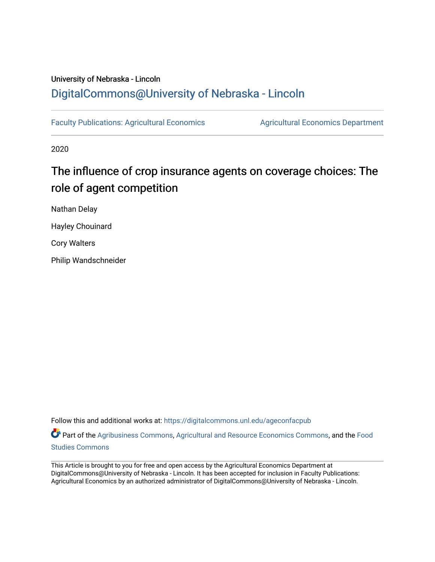# University of Nebraska - Lincoln [DigitalCommons@University of Nebraska - Lincoln](https://digitalcommons.unl.edu/)

[Faculty Publications: Agricultural Economics](https://digitalcommons.unl.edu/ageconfacpub) [Agricultural Economics Department](https://digitalcommons.unl.edu/ag_econ) 

2020

# The influence of crop insurance agents on coverage choices: The role of agent competition

Nathan Delay

Hayley Chouinard

Cory Walters

Philip Wandschneider

Follow this and additional works at: [https://digitalcommons.unl.edu/ageconfacpub](https://digitalcommons.unl.edu/ageconfacpub?utm_source=digitalcommons.unl.edu%2Fageconfacpub%2F236&utm_medium=PDF&utm_campaign=PDFCoverPages)

Part of the [Agribusiness Commons,](http://network.bepress.com/hgg/discipline/1051?utm_source=digitalcommons.unl.edu%2Fageconfacpub%2F236&utm_medium=PDF&utm_campaign=PDFCoverPages) [Agricultural and Resource Economics Commons,](http://network.bepress.com/hgg/discipline/317?utm_source=digitalcommons.unl.edu%2Fageconfacpub%2F236&utm_medium=PDF&utm_campaign=PDFCoverPages) and the [Food](http://network.bepress.com/hgg/discipline/1386?utm_source=digitalcommons.unl.edu%2Fageconfacpub%2F236&utm_medium=PDF&utm_campaign=PDFCoverPages) [Studies Commons](http://network.bepress.com/hgg/discipline/1386?utm_source=digitalcommons.unl.edu%2Fageconfacpub%2F236&utm_medium=PDF&utm_campaign=PDFCoverPages) 

This Article is brought to you for free and open access by the Agricultural Economics Department at DigitalCommons@University of Nebraska - Lincoln. It has been accepted for inclusion in Faculty Publications: Agricultural Economics by an authorized administrator of DigitalCommons@University of Nebraska - Lincoln.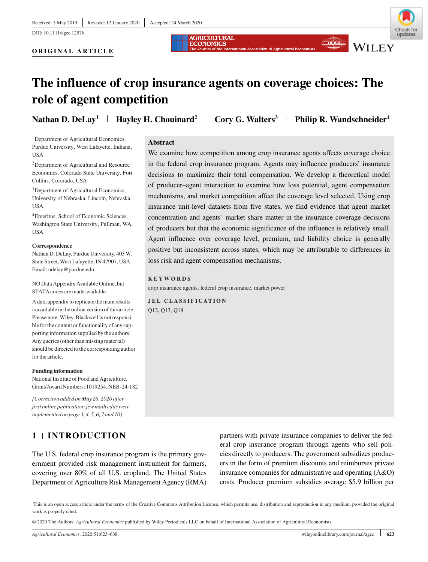DOI: 10.1111/agec.12576



**ORIGINAL ARTICLE**

# **The influence of crop insurance agents on coverage choices: The role of agent competition**

Nathan D. DeLay<sup>1</sup> **Hayley H. Chouinard<sup>2</sup> <b>Cory G. Walters**<sup>3</sup> **Philip R. Wandschneider**<sup>4</sup>

loss risk and agent compensation mechanisms.

crop insurance agents, federal crop insurance, market power

We examine how competition among crop insurance agents affects coverage choice in the federal crop insurance program. Agents may influence producers' insurance decisions to maximize their total compensation. We develop a theoretical model of producer–agent interaction to examine how loss potential, agent compensation mechanisms, and market competition affect the coverage level selected. Using crop insurance unit-level datasets from five states, we find evidence that agent market concentration and agents' market share matter in the insurance coverage decisions of producers but that the economic significance of the influence is relatively small. Agent influence over coverage level, premium, and liability choice is generally positive but inconsistent across states, which may be attributable to differences in

**Abstract**

**KEYWORDS**

Q12, Q13, Q18

**JEL CLASSIFICATION**

<sup>1</sup>Department of Agricultural Economics, Purdue University, West Lafayette, Indiana, USA

2Department of Agricultural and Resource Economics, Colorado State University, Fort Collins, Colorado, USA

3Department of Agricultural Economics, University of Nebraska, Lincoln, Nebraska, **IISA** 

4Emeritus, School of Economic Sciences, Washington State University, Pullman, WA, USA

#### **Correspondence**

Nathan D. DeLay, Purdue University, 403W. State Street, West Lafayette, IN 47907, USA. Email: ndelay@purdue.edu

NO Data Appendix Available Online, but STATA codes are made available.

A data appendix to replicate the main results is available in the online version of this article. Please note:Wiley-Blackwell is not responsible for the content or functionality of any supporting information supplied by the authors. Any queries (other than missing material) should be directed to the corresponding author for the article.

#### **Funding information**

National Institute of Food and Agriculture, Grant/Award Numbers: 1019254, NEB-24-182

*[Correction added on May 26, 2020 after first online publication: few math edits were implemented on page 3, 4, 5, 6, 7 and 10]*

# **1 INTRODUCTION**

The U.S. federal crop insurance program is the primary government provided risk management instrument for farmers, covering over 80% of all U.S. cropland. The United States Department of Agriculture Risk Management Agency (RMA)

partners with private insurance companies to deliver the federal crop insurance program through agents who sell policies directly to producers. The government subsidizes producers in the form of premium discounts and reimburses private insurance companies for administrative and operating (A&O) costs. Producer premium subsidies average \$5.9 billion per

This is an open access article under the terms of the [Creative Commons Attribution](http://creativecommons.org/licenses/by/4.0/) License, which permits use, distribution and reproduction in any medium, provided the original work is properly cited.

© 2020 The Authors. *Agricultural Economics* published by Wiley Periodicals LLC on behalf of International Association of Agricultural Economists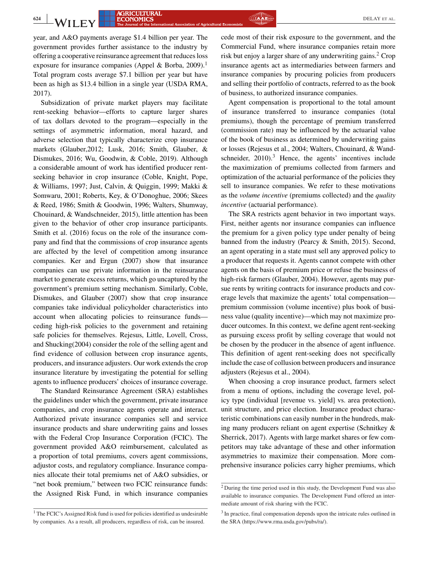year, and A&O payments average \$1.4 billion per year. The government provides further assistance to the industry by offering a cooperative reinsurance agreement that reduces loss exposure for insurance companies (Appel & Borba, 2009).<sup>1</sup> Total program costs average \$7.1 billion per year but have been as high as \$13.4 billion in a single year (USDA RMA, 2017).

Subsidization of private market players may facilitate rent-seeking behavior—efforts to capture larger shares of tax dollars devoted to the program—especially in the settings of asymmetric information, moral hazard, and adverse selection that typically characterize crop insurance markets (Glauber,2012; Lusk, 2016; Smith, Glauber, & Dismukes, 2016; Wu, Goodwin, & Coble, 2019). Although a considerable amount of work has identified producer rentseeking behavior in crop insurance (Coble, Knight, Pope, & Williams, 1997; Just, Calvin, & Quiggin, 1999; Makki & Somwaru, 2001; Roberts, Key, & O'Donoghue, 2006; Skees & Reed, 1986; Smith & Goodwin, 1996; Walters, Shumway, Chouinard, & Wandschneider, 2015), little attention has been given to the behavior of other crop insurance participants. Smith et al. (2016) focus on the role of the insurance company and find that the commissions of crop insurance agents are affected by the level of competition among insurance companies. Ker and Ergun (2007) show that insurance companies can use private information in the reinsurance market to generate excess returns, which go uncaptured by the government's premium setting mechanism. Similarly, Coble, Dismukes, and Glauber (2007) show that crop insurance companies take individual policyholder characteristics into account when allocating policies to reinsurance funds ceding high-risk policies to the government and retaining safe policies for themselves. Rejesus, Little, Lovell, Cross, and Shucking(2004) consider the role of the selling agent and find evidence of collusion between crop insurance agents, producers, and insurance adjusters. Our work extends the crop insurance literature by investigating the potential for selling agents to influence producers' choices of insurance coverage.

The Standard Reinsurance Agreement (SRA) establishes the guidelines under which the government, private insurance companies, and crop insurance agents operate and interact. Authorized private insurance companies sell and service insurance products and share underwriting gains and losses with the Federal Crop Insurance Corporation (FCIC). The government provided A&O reimbursement, calculated as a proportion of total premiums, covers agent commissions, adjustor costs, and regulatory compliance. Insurance companies allocate their total premiums net of A&O subsidies, or "net book premium," between two FCIC reinsurance funds: the Assigned Risk Fund, in which insurance companies cede most of their risk exposure to the government, and the Commercial Fund, where insurance companies retain more risk but enjoy a larger share of any underwriting gains.<sup>2</sup> Crop insurance agents act as intermediaries between farmers and insurance companies by procuring policies from producers and selling their portfolio of contracts, referred to as the book of business, to authorized insurance companies.

Agent compensation is proportional to the total amount of insurance transferred to insurance companies (total premiums), though the percentage of premium transferred (commission rate) may be influenced by the actuarial value of the book of business as determined by underwriting gains or losses (Rejesus et al., 2004; Walters, Chouinard, & Wandschneider,  $2010$ .<sup>3</sup> Hence, the agents' incentives include the maximization of premiums collected from farmers and optimization of the actuarial performance of the policies they sell to insurance companies. We refer to these motivations as the *volume incentive* (premiums collected) and the *quality incentive* (actuarial performance).

The SRA restricts agent behavior in two important ways. First, neither agents nor insurance companies can influence the premium for a given policy type under penalty of being banned from the industry (Pearcy & Smith, 2015). Second, an agent operating in a state must sell any approved policy to a producer that requests it. Agents cannot compete with other agents on the basis of premium price or refuse the business of high-risk farmers (Glauber, 2004). However, agents may pursue rents by writing contracts for insurance products and coverage levels that maximize the agents' total compensation premium commission (volume incentive) plus book of business value (quality incentive)—which may not maximize producer outcomes. In this context, we define agent rent-seeking as pursuing excess profit by selling coverage that would not be chosen by the producer in the absence of agent influence. This definition of agent rent-seeking does not specifically include the case of collusion between producers and insurance adjusters (Rejesus et al., 2004).

When choosing a crop insurance product, farmers select from a menu of options, including the coverage level, policy type (individual [revenue vs. yield] vs. area protection), unit structure, and price election. Insurance product characteristic combinations can easily number in the hundreds, making many producers reliant on agent expertise (Schnitkey & Sherrick, 2017). Agents with large market shares or few competitors may take advantage of these and other information asymmetries to maximize their compensation. More comprehensive insurance policies carry higher premiums, which

<sup>1</sup> The FCIC's Assigned Risk fund is used for policies identified as undesirable by companies. As a result, all producers, regardless of risk, can be insured.

<sup>2</sup> During the time period used in this study, the Development Fund was also available to insurance companies. The Development Fund offered an intermediate amount of risk sharing with the FCIC.

<sup>&</sup>lt;sup>3</sup> In practice, final compensation depends upon the intricate rules outlined in the SRA [\(https://www.rma.usda.gov/pubs/ra/\)](https://www.rma.usda.gov/pubs/ra/).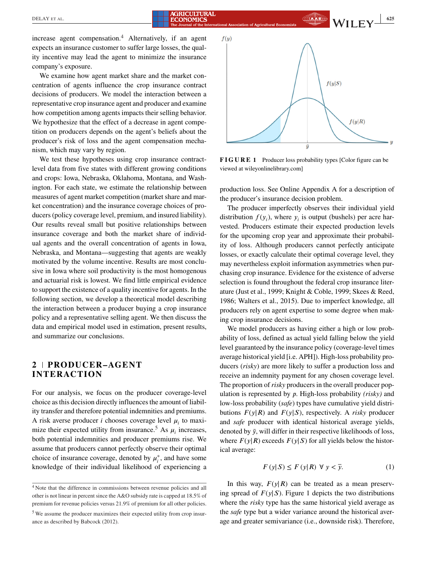increase agent compensation.<sup>4</sup> Alternatively, if an agent expects an insurance customer to suffer large losses, the quality incentive may lead the agent to minimize the insurance company's exposure.

We examine how agent market share and the market concentration of agents influence the crop insurance contract decisions of producers. We model the interaction between a representative crop insurance agent and producer and examine how competition among agents impacts their selling behavior. We hypothesize that the effect of a decrease in agent competition on producers depends on the agent's beliefs about the producer's risk of loss and the agent compensation mechanism, which may vary by region.

We test these hypotheses using crop insurance contractlevel data from five states with different growing conditions and crops: Iowa, Nebraska, Oklahoma, Montana, and Washington. For each state, we estimate the relationship between measures of agent market competition (market share and market concentration) and the insurance coverage choices of producers (policy coverage level, premium, and insured liability). Our results reveal small but positive relationships between insurance coverage and both the market share of individual agents and the overall concentration of agents in Iowa, Nebraska, and Montana—suggesting that agents are weakly motivated by the volume incentive. Results are most conclusive in Iowa where soil productivity is the most homogenous and actuarial risk is lowest. We find little empirical evidence to support the existence of a quality incentive for agents. In the following section, we develop a theoretical model describing the interaction between a producer buying a crop insurance policy and a representative selling agent. We then discuss the data and empirical model used in estimation, present results, and summarize our conclusions.

## **2 PRODUCER–AGENT INTERACTION**

For our analysis, we focus on the producer coverage-level choice as this decision directly influences the amount of liability transfer and therefore potential indemnities and premiums. A risk averse producer *i* chooses coverage level  $\mu_i$  to maximize their expected utility from insurance.<sup>5</sup> As  $\mu_i$  increases, both potential indemnities and producer premiums rise. We assume that producers cannot perfectly observe their optimal choice of insurance coverage, denoted by  $\mu_i^*$ , and have some knowledge of their individual likelihood of experiencing a



**FIGURE 1** Producer loss probability types [Color figure can be viewed at wileyonlinelibrary.com]

production loss. See Online Appendix A for a description of the producer's insurance decision problem.

The producer imperfectly observes their individual yield distribution  $f(y_i)$ , where  $y_i$  is output (bushels) per acre harvested. Producers estimate their expected production levels for the upcoming crop year and approximate their probability of loss. Although producers cannot perfectly anticipate losses, or exactly calculate their optimal coverage level, they may nevertheless exploit information asymmetries when purchasing crop insurance. Evidence for the existence of adverse selection is found throughout the federal crop insurance literature (Just et al., 1999; Knight & Coble, 1999; Skees & Reed, 1986; Walters et al., 2015). Due to imperfect knowledge, all producers rely on agent expertise to some degree when making crop insurance decisions.

We model producers as having either a high or low probability of loss, defined as actual yield falling below the yield level guaranteed by the insurance policy (coverage-level times average historical yield [i.e. APH]). High-loss probability producers (*risky*) are more likely to suffer a production loss and receive an indemnity payment for any chosen coverage level. The proportion of *risky* producers in the overall producer population is represented by p. High-loss probability *(risky)* and low-loss probability (*safe*) types have cumulative yield distributions  $F(y|R)$  and  $F(y|S)$ , respectively. A *risky* producer and *safe* producer with identical historical average yields, denoted by *̄*, will differ in their respective likelihoods of loss, where  $F(y|R)$  exceeds  $F(y|S)$  for all yields below the historical average:

$$
F(y|S) \le F(y|R) \ \forall \ y < \overline{y}.\tag{1}
$$

In this way,  $F(y|R)$  can be treated as a mean preserving spread of  $F(y|S)$ . Figure 1 depicts the two distributions where the *risky* type has the same historical yield average as the *safe* type but a wider variance around the historical average and greater semivariance (i.e., downside risk). Therefore,

<sup>&</sup>lt;sup>4</sup> Note that the difference in commissions between revenue policies and all other is not linear in percent since the A&O subsidy rate is capped at 18.5% of premium for revenue policies versus 21.9% of premium for all other policies. <sup>5</sup> We assume the producer maximizes their expected utility from crop insurance as described by Babcock (2012).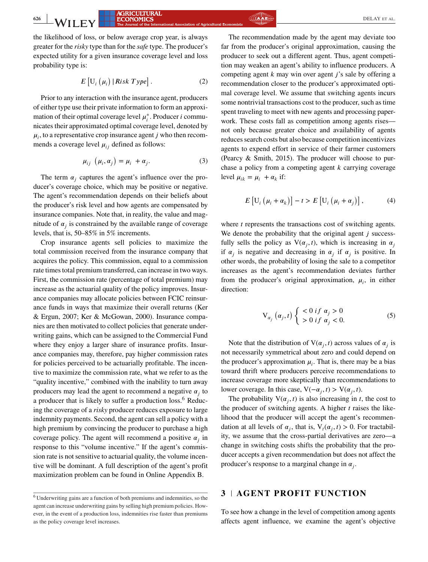**AGRICHETHRAI 626 IMALES DELAY ET AL. <b>ECONOMICS EXAMPLES EXAMPLES EXAMPLES EXAMPLES EXAMPLES EXAMPLES EXAMPLES EXAMPLES EXAMPLES EXAMPLES EXAMPLES EXAMPLES EXAMPLES EXAMPLES EXAMPLES EXAMPLES EXAMPL** 

the likelihood of loss, or below average crop year, is always greater for the *risky* type than for the *safe* type. The producer's expected utility for a given insurance coverage level and loss probability type is:

$$
E\left[U_i\left(\mu_i\right)|Risk\; Type\right].\tag{2}
$$

Prior to any interaction with the insurance agent, producers of either type use their private information to form an approximation of their optimal coverage level  $\mu_i^*$ . Producer *i* communicates their approximated optimal coverage level, denoted by  $\mu_i$ , to a representative crop insurance agent *j* who then recommends a coverage level  $\mu_{ij}$  defined as follows:

$$
\mu_{ij} \left( \mu_i, \alpha_j \right) = \mu_i + \alpha_j. \tag{3}
$$

The term  $\alpha_i$  captures the agent's influence over the producer's coverage choice, which may be positive or negative. The agent's recommendation depends on their beliefs about the producer's risk level and how agents are compensated by insurance companies. Note that, in reality, the value and magnitude of  $\alpha_i$  is constrained by the available range of coverage levels, that is, 50–85% in 5% increments.

Crop insurance agents sell policies to maximize the total commission received from the insurance company that acquires the policy. This commission, equal to a commission rate times total premium transferred, can increase in two ways. First, the commission rate (percentage of total premium) may increase as the actuarial quality of the policy improves. Insurance companies may allocate policies between FCIC reinsurance funds in ways that maximize their overall returns (Ker & Ergun, 2007; Ker & McGowan, 2000). Insurance companies are then motivated to collect policies that generate underwriting gains, which can be assigned to the Commercial Fund where they enjoy a larger share of insurance profits. Insurance companies may, therefore, pay higher commission rates for policies perceived to be actuarially profitable. The incentive to maximize the commission rate, what we refer to as the "quality incentive," combined with the inability to turn away producers may lead the agent to recommend a negative  $\alpha_i$  to a producer that is likely to suffer a production loss.<sup>6</sup> Reducing the coverage of a *risky* producer reduces exposure to large indemnity payments. Second, the agent can sell a policy with a high premium by convincing the producer to purchase a high coverage policy. The agent will recommend a positive  $\alpha_i$  in response to this "volume incentive." If the agent's commission rate is not sensitive to actuarial quality, the volume incentive will be dominant. A full description of the agent's profit maximization problem can be found in Online Appendix B.

The recommendation made by the agent may deviate too far from the producer's original approximation, causing the producer to seek out a different agent. Thus, agent competition may weaken an agent's ability to influence producers. A competing agent  $k$  may win over agent *i*'s sale by offering a recommendation closer to the producer's approximated optimal coverage level. We assume that switching agents incurs some nontrivial transactions cost to the producer, such as time spent traveling to meet with new agents and processing paperwork. These costs fall as competition among agents rises not only because greater choice and availability of agents reduces search costs but also because competition incentivizes agents to expend effort in service of their farmer customers (Pearcy & Smith, 2015). The producer will choose to purchase a policy from a competing agent  $k$  carrying coverage level  $\mu_{ik} = \mu_i + \alpha_k$  if:

$$
E\left[\mathbf{U}_{i}\left(\mu_{i}+\alpha_{k}\right)\right]-t>E\left[\mathbf{U}_{i}\left(\mu_{i}+\alpha_{j}\right)\right],\tag{4}
$$

where  $t$  represents the transactions cost of switching agents. We denote the probability that the original agent  $j$  successfully sells the policy as  $V(\alpha_i, t)$ , which is increasing in  $\alpha_i$ if  $\alpha_i$  is negative and decreasing in  $\alpha_i$  if  $\alpha_j$  is positive. In other words, the probability of losing the sale to a competitor increases as the agent's recommendation deviates further from the producer's original approximation,  $\mu_i$ , in either direction:

$$
V_{\alpha_j}(\alpha_j, t) \begin{cases} < 0 \text{ if } \alpha_j > 0 \\ > 0 \text{ if } \alpha_j < 0. \end{cases} \tag{5}
$$

Note that the distribution of  $V(\alpha_j, t)$  across values of  $\alpha_j$  is not necessarily symmetrical about zero and could depend on the producer's approximation  $\mu_i$ . That is, there may be a bias toward thrift where producers perceive recommendations to increase coverage more skeptically than recommendations to lower coverage. In this case,  $V(-\alpha_i, t) > V(\alpha_i, t)$ .

The probability  $V(\alpha_i, t)$  is also increasing in t, the cost to the producer of switching agents. A higher  $t$  raises the likelihood that the producer will accept the agent's recommendation at all levels of  $\alpha_i$ , that is,  $V_t(\alpha_i, t) > 0$ . For tractability, we assume that the cross-partial derivatives are zero—a change in switching costs shifts the probability that the producer accepts a given recommendation but does not affect the producer's response to a marginal change in  $\alpha_i$ .

#### **3 AGENT PROFIT FUNCTION**

To see how a change in the level of competition among agents affects agent influence, we examine the agent's objective

<sup>6</sup> Underwriting gains are a function of both premiums and indemnities, so the agent can increase underwriting gains by selling high premium policies. However, in the event of a production loss, indemnities rise faster than premiums as the policy coverage level increases.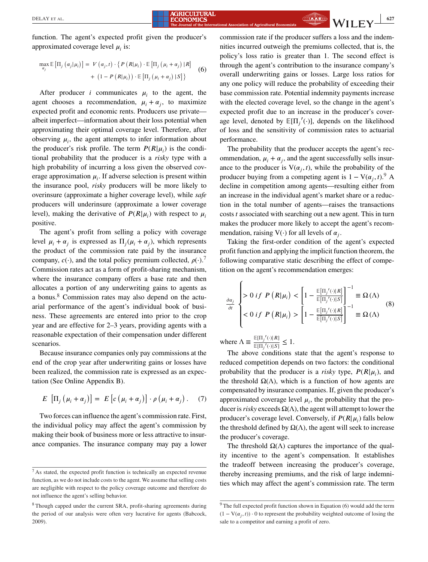DELAY ET AL. **1999 THE EXECUTION CONTRACT CONTRACT CONTRACT CONTRACT CONTRACT CONTRACT CONTRACT CONTRACT CONTRACT CONTRACT CONTRACT CONTRACT CONTRACT CONTRACT CONTRACT CONTRACT CONTRACT CONTRACT CONTRACT CONTRACT CONTRACT** 

function. The agent's expected profit given the producer's approximated coverage level  $\mu_i$  is:

$$
\max_{\alpha_j} \mathbb{E} \left[ \Pi_j \left( \alpha_j | \mu_i \right) \right] = V \left( \alpha_j, t \right) \cdot \left\{ P \left( R | \mu_i \right) \cdot \mathbb{E} \left[ \Pi_j \left( \mu_i + \alpha_j \right) | R \right] \right. \\ \left. + \left( 1 - P \left( R | \mu_i \right) \right) \cdot \mathbb{E} \left[ \Pi_j \left( \mu_i + \alpha_j \right) | S \right] \right\} \tag{6}
$$

After producer *i* communicates  $\mu_i$  to the agent, the agent chooses a recommendation,  $\mu_i + \alpha_i$ , to maximize expected profit and economic rents. Producers use private albeit imperfect—information about their loss potential when approximating their optimal coverage level. Therefore, after observing  $\mu_i$ , the agent attempts to infer information about the producer's risk profile. The term  $P(R|\mu_i)$  is the conditional probability that the producer is a *risky* type with a high probability of incurring a loss given the observed coverage approximation  $\mu_i$ . If adverse selection is present within the insurance pool, *risky* producers will be more likely to overinsure (approximate a higher coverage level), while *safe* producers will underinsure (approximate a lower coverage level), making the derivative of  $P(R|\mu_i)$  with respect to  $\mu_i$ positive.

The agent's profit from selling a policy with coverage level  $\mu_i + \alpha_j$  is expressed as  $\Pi_i(\mu_i + \alpha_j)$ , which represents the product of the commission rate paid by the insurance company,  $c(\cdot)$ , and the total policy premium collected,  $\rho(\cdot)$ .<sup>7</sup> Commission rates act as a form of profit-sharing mechanism, where the insurance company offers a base rate and then allocates a portion of any underwriting gains to agents as a bonus.8 Commission rates may also depend on the actuarial performance of the agent's individual book of business. These agreements are entered into prior to the crop year and are effective for 2–3 years, providing agents with a reasonable expectation of their compensation under different scenarios.

Because insurance companies only pay commissions at the end of the crop year after underwriting gains or losses have been realized, the commission rate is expressed as an expectation (See Online Appendix B).

$$
E\left[\Pi_j\left(\mu_i+\alpha_j\right)\right] = E\left[c\left(\mu_i+\alpha_j\right)\right] \cdot \rho\left(\mu_i+\alpha_j\right). \quad (7)
$$

Two forces can influence the agent's commission rate. First, the individual policy may affect the agent's commission by making their book of business more or less attractive to insurance companies. The insurance company may pay a lower commission rate if the producer suffers a loss and the indemnities incurred outweigh the premiums collected, that is, the policy's loss ratio is greater than 1. The second effect is through the agent's contribution to the insurance company's overall underwriting gains or losses. Large loss ratios for any one policy will reduce the probability of exceeding their base commission rate. Potential indemnity payments increase with the elected coverage level, so the change in the agent's expected profit due to an increase in the producer's coverage level, denoted by  $\mathbb{E}[\Pi_j'(\cdot)]$ , depends on the likelihood of loss and the sensitivity of commission rates to actuarial performance.

The probability that the producer accepts the agent's recommendation,  $\mu_i + \alpha_i$ , and the agent successfully sells insurance to the producer is  $V(\alpha_i, t)$ , while the probability of the producer buying from a competing agent is  $1 - V(\alpha_j, t)$ .<sup>9</sup> A decline in competition among agents—resulting either from an increase in the individual agent's market share or a reduction in the total number of agents—raises the transactions  $\cos\theta$  associated with searching out a new agent. This in turn makes the producer more likely to accept the agent's recommendation, raising V( $\cdot$ ) for all levels of  $\alpha_i$ .

Taking the first-order condition of the agent's expected profit function and applying the implicit function theorem, the following comparative static describing the effect of competition on the agent's recommendation emerges:

$$
\frac{\partial \alpha_j}{\partial t} \n\begin{cases}\n> 0 & \text{if } P\left(R|\mu_i\right) < \left[1 - \frac{\mathbb{E}\left[\Pi_j'(\cdot)|R\right]}{\mathbb{E}\left[\Pi_j'(\cdot)|S\right]}\right]^{-1} \equiv \Omega(\Lambda) \\
< 0 & \text{if } P\left(R|\mu_i\right) > \left[1 - \frac{\mathbb{E}\left[\Pi_j'(\cdot)|R\right]}{\mathbb{E}\left[\Pi_j'(\cdot)|S\right]}\right]^{-1} \equiv \Omega(\Lambda)\n\end{cases}\n\tag{8}
$$

where  $\Lambda \equiv \frac{\mathbb{E}[\Pi_j'(\cdot)|R]}{\mathbb{E}[\Pi_j'(\cdot)|S]}$  $\frac{\mathbb{E}[\Pi_j(\cdot)|N]}{\mathbb{E}[\Pi_j'(\cdot)|S]} \leq 1.$ 

The above conditions state that the agent's response to reduced competition depends on two factors: the conditional probability that the producer is a *risky* type,  $P(R|\mu_i)$ , and the threshold  $\Omega(\Lambda)$ , which is a function of how agents are compensated by insurance companies. If, given the producer's approximated coverage level  $\mu_i$ , the probability that the producer is *risky* exceeds  $\Omega(\Lambda)$ , the agent will attempt to lower the producer's coverage level. Conversely, if  $P(R|\mu_i)$  falls below the threshold defined by  $\Omega(\Lambda)$ , the agent will seek to increase the producer's coverage.

The threshold  $\Omega(\Lambda)$  captures the importance of the quality incentive to the agent's compensation. It establishes the tradeoff between increasing the producer's coverage, thereby increasing premiums, and the risk of large indemnities which may affect the agent's commission rate. The term

<sup>7</sup> As stated, the expected profit function is technically an expected revenue function, as we do not include costs to the agent. We assume that selling costs are negligible with respect to the policy coverage outcome and therefore do not influence the agent's selling behavior.

<sup>&</sup>lt;sup>8</sup> Though capped under the current SRA, profit-sharing agreements during the period of our analysis were often very lucrative for agents (Babcock, 2009).

 $9$  The full expected profit function shown in Equation (6) would add the term  $(1 - V(\alpha_i, t)) \cdot 0$  to represent the probability weighted outcome of losing the sale to a competitor and earning a profit of zero.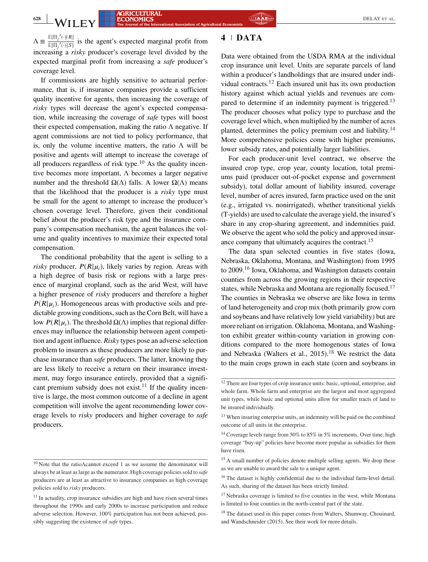$\Lambda \equiv \frac{\mathbb{E}[\Pi_j'(\cdot)|R]}{\mathbb{E}[\Pi_j'(\cdot)|S]}$  $\frac{\text{Im}(f)(\text{Im})}{\text{Im}(f)(\text{Im})}$  is the agent's expected marginal profit from increasing a *risky* producer's coverage level divided by the expected marginal profit from increasing a *safe* producer's coverage level.

If commissions are highly sensitive to actuarial performance, that is, if insurance companies provide a sufficient quality incentive for agents, then increasing the coverage of *risky* types will decrease the agent's expected compensation, while increasing the coverage of *safe* types will boost their expected compensation, making the ratio  $\Lambda$  negative. If agent commissions are not tied to policy performance, that is, only the volume incentive matters, the ratio  $\Lambda$  will be positive and agents will attempt to increase the coverage of all producers regardless of risk type. $10$  As the quality incentive becomes more important, Λ becomes a larger negative number and the threshold  $\Omega(Λ)$  falls. A lower  $\Omega(Λ)$  means that the likelihood that the producer is a *risky* type must be small for the agent to attempt to increase the producer's chosen coverage level. Therefore, given their conditional belief about the producer's risk type and the insurance company's compensation mechanism, the agent balances the volume and quality incentives to maximize their expected total compensation.

The conditional probability that the agent is selling to a *risky* producer,  $P(R|\mu_i)$ , likely varies by region. Areas with a high degree of basis risk or regions with a large presence of marginal cropland, such as the arid West, will have a higher presence of *risky* producers and therefore a higher  $P(R|\mu_i)$ . Homogeneous areas with productive soils and predictable growing conditions, such as the Corn Belt, will have a low  $P(R|\mu_i)$ . The threshold  $\Omega(\Lambda)$  implies that regional differences may influence the relationship between agent competition and agent influence. *Risky* types pose an adverse selection problem to insurers as these producers are more likely to purchase insurance than *safe* producers. The latter, knowing they are less likely to receive a return on their insurance investment, may forgo insurance entirely, provided that a significant premium subsidy does not exist.<sup>11</sup> If the quality incentive is large, the most common outcome of a decline in agent competition will involve the agent recommending lower coverage levels to *risky* producers and higher coverage to *safe* producers.

## **4 DATA**

Data were obtained from the USDA RMA at the individual crop insurance unit level. Units are separate parcels of land within a producer's landholdings that are insured under individual contracts.<sup>12</sup> Each insured unit has its own production history against which actual yields and revenues are compared to determine if an indemnity payment is triggered.<sup>13</sup> The producer chooses what policy type to purchase and the coverage level which, when multiplied by the number of acres planted, determines the policy premium cost and liability.<sup>14</sup> More comprehensive policies come with higher premiums, lower subsidy rates, and potentially larger liabilities.

For each producer-unit level contract, we observe the insured crop type, crop year, county location, total premiums paid (producer out-of-pocket expense and government subsidy), total dollar amount of liability insured, coverage level, number of acres insured, farm practice used on the unit (e.g., irrigated vs. nonirrigated), whether transitional yields (T-yields) are used to calculate the average yield, the insured's share in any crop-sharing agreement, and indemnities paid. We observe the agent who sold the policy and approved insurance company that ultimately acquires the contract.<sup>15</sup>

The data span selected counties in five states (Iowa, Nebraska, Oklahoma, Montana, and Washington) from 1995 to 2009.<sup>16</sup> Iowa, Oklahoma, and Washington datasets contain counties from across the growing regions in their respective states, while Nebraska and Montana are regionally focused.<sup>17</sup> The counties in Nebraska we observe are like Iowa in terms of land heterogeneity and crop mix (both primarily grow corn and soybeans and have relatively low yield variability) but are more reliant on irrigation. Oklahoma, Montana, and Washington exhibit greater within-county variation in growing conditions compared to the more homogenous states of Iowa and Nebraska (Walters et al.,  $2015$ ).<sup>18</sup> We restrict the data to the main crops grown in each state (corn and soybeans in

<sup>10</sup> Note that the ratioΛcannot exceed 1 as we assume the denominator will always be at least as large as the numerator. High coverage policies sold to *safe* producers are at least as attractive to insurance companies as high coverage policies sold to *risky* producers.

<sup>&</sup>lt;sup>11</sup> In actuality, crop insurance subsidies are high and have risen several times throughout the 1990s and early 2000s to increase participation and reduce adverse selection. However, 100% participation has not been achieved, possibly suggesting the existence of *safe* types.

<sup>&</sup>lt;sup>12</sup> There are four types of crop insurance units: basic, optional, enterprise, and whole farm. Whole farm and enterprise are the largest and most aggregated unit types, while basic and optional units allow for smaller tracts of land to be insured individually.

<sup>&</sup>lt;sup>13</sup> When insuring enterprise units, an indemnity will be paid on the combined outcome of all units in the enterprise.

<sup>&</sup>lt;sup>14</sup> Coverage levels range from 50% to 85% in 5% increments. Over time, high coverage "buy-up" policies have become more popular as subsidies for them have risen.

<sup>&</sup>lt;sup>15</sup> A small number of policies denote multiple selling agents. We drop these as we are unable to award the sale to a unique agent.

<sup>16</sup> The dataset is highly confidential due to the individual farm-level detail. As such, sharing of the dataset has been strictly limited.

<sup>&</sup>lt;sup>17</sup> Nebraska coverage is limited to five counties in the west, while Montana is limited to four counties in the north-central part of the state.

<sup>&</sup>lt;sup>18</sup> The dataset used in this paper comes from Walters, Shumway, Chouinard, and Wandschneider (2015). See their work for more details.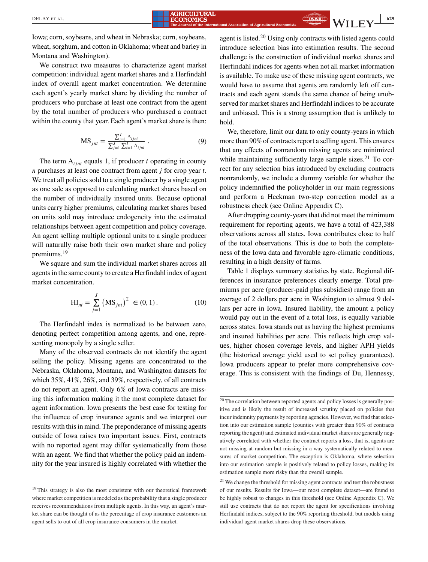Iowa; corn, soybeans, and wheat in Nebraska; corn, soybeans, wheat, sorghum, and cotton in Oklahoma; wheat and barley in Montana and Washington).

We construct two measures to characterize agent market competition: individual agent market shares and a Herfindahl index of overall agent market concentration. We determine each agent's yearly market share by dividing the number of producers who purchase at least one contract from the agent by the total number of producers who purchased a contract within the county that year. Each agent's market share is then:

$$
MS_{jnt} = \frac{\sum_{i=1}^{I} A_{ijnt}}{\sum_{j=1}^{J} \sum_{i=1}^{I} A_{ijnt}}.
$$
 (9)

The term  $A_{iint}$  equals 1, if producer *i* operating in county  $n$  purchases at least one contract from agent  $j$  for crop year  $t$ . We treat all policies sold to a single producer by a single agent as one sale as opposed to calculating market shares based on the number of individually insured units. Because optional units carry higher premiums, calculating market shares based on units sold may introduce endogeneity into the estimated relationships between agent competition and policy coverage. An agent selling multiple optional units to a single producer will naturally raise both their own market share and policy premiums.<sup>19</sup>

We square and sum the individual market shares across all agents in the same county to create a Herfindahl index of agent market concentration.

$$
HI_{nt} = \sum_{j=1}^{J} (MS_{jnt})^2 \in (0, 1).
$$
 (10)

The Herfindahl index is normalized to be between zero, denoting perfect competition among agents, and one, representing monopoly by a single seller.

Many of the observed contracts do not identify the agent selling the policy. Missing agents are concentrated to the Nebraska, Oklahoma, Montana, and Washington datasets for which 35%, 41%, 26%, and 39%, respectively, of all contracts do not report an agent. Only 6% of Iowa contracts are missing this information making it the most complete dataset for agent information. Iowa presents the best case for testing for the influence of crop insurance agents and we interpret our results with this in mind. The preponderance of missing agents outside of Iowa raises two important issues. First, contracts with no reported agent may differ systematically from those with an agent. We find that whether the policy paid an indemnity for the year insured is highly correlated with whether the agent is listed.<sup>20</sup> Using only contracts with listed agents could introduce selection bias into estimation results. The second challenge is the construction of individual market shares and Herfindahl indices for agents when not all market information is available. To make use of these missing agent contracts, we would have to assume that agents are randomly left off contracts and each agent stands the same chance of being unobserved for market shares and Herfindahl indices to be accurate and unbiased. This is a strong assumption that is unlikely to hold.

We, therefore, limit our data to only county-years in which more than 90% of contracts report a selling agent. This ensures that any effects of nonrandom missing agents are minimized while maintaining sufficiently large sample sizes. $21$  To correct for any selection bias introduced by excluding contracts nonrandomly, we include a dummy variable for whether the policy indemnified the policyholder in our main regressions and perform a Heckman two-step correction model as a robustness check (see Online Appendix C).

After dropping county-years that did not meet the minimum requirement for reporting agents, we have a total of 423,388 observations across all states. Iowa contributes close to half of the total observations. This is due to both the completeness of the Iowa data and favorable agro-climatic conditions, resulting in a high density of farms.

Table 1 displays summary statistics by state. Regional differences in insurance preferences clearly emerge. Total premiums per acre (producer-paid plus subsidies) range from an average of 2 dollars per acre in Washington to almost 9 dollars per acre in Iowa. Insured liability, the amount a policy would pay out in the event of a total loss, is equally variable across states. Iowa stands out as having the highest premiums and insured liabilities per acre. This reflects high crop values, higher chosen coverage levels, and higher APH yields (the historical average yield used to set policy guarantees). Iowa producers appear to prefer more comprehensive coverage. This is consistent with the findings of Du, Hennessy,

<sup>&</sup>lt;sup>19</sup> This strategy is also the most consistent with our theoretical framework where market competition is modeled as the probability that a single producer receives recommendations from multiple agents. In this way, an agent's market share can be thought of as the percentage of crop insurance customers an agent sells to out of all crop insurance consumers in the market.

<sup>&</sup>lt;sup>20</sup> The correlation between reported agents and policy losses is generally positive and is likely the result of increased scrutiny placed on policies that incur indemnity payments by reporting agencies. However, we find that selection into our estimation sample (counties with greater than 90% of contracts reporting the agent) and estimated individual market shares are generally negatively correlated with whether the contract reports a loss, that is, agents are not missing-at-random but missing in a way systematically related to measures of market competition. The exception is Oklahoma, where selection into our estimation sample is positively related to policy losses, making its estimation sample more risky than the overall sample.

<sup>21</sup> We change the threshold for missing agent contracts and test the robustness of our results. Results for Iowa—our most complete dataset—are found to be highly robust to changes in this threshold (see Online Appendix C). We still use contracts that do not report the agent for specifications involving Herfindahl indices, subject to the 90% reporting threshold, but models using individual agent market shares drop these observations.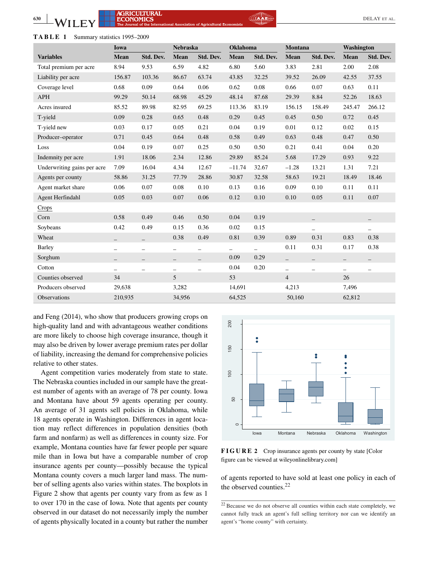#### **TABLE 1** Summary statistics 1995–2009

|                             | Iowa                     |                          | <b>Nebraska</b>          |                          | <b>Oklahoma</b>          |           | <b>Montana</b>           |                          | Washington               |                          |
|-----------------------------|--------------------------|--------------------------|--------------------------|--------------------------|--------------------------|-----------|--------------------------|--------------------------|--------------------------|--------------------------|
| <b>Variables</b>            | Mean                     | Std. Dev.                | Mean                     | Std. Dev.                | Mean                     | Std. Dev. | Mean                     | Std. Dev.                | <b>Mean</b>              | Std. Dev.                |
| Total premium per acre      | 8.94                     | 9.53                     | 6.59                     | 4.82                     | 6.80                     | 5.60      | 3.83                     | 2.81                     | 2.00                     | 2.08                     |
| Liability per acre          | 156.87                   | 103.36                   | 86.67                    | 63.74                    | 43.85                    | 32.25     | 39.52                    | 26.09                    | 42.55                    | 37.55                    |
| Coverage level              | 0.68                     | 0.09                     | 0.64                     | 0.06                     | 0.62                     | 0.08      | 0.66                     | 0.07                     | 0.63                     | 0.11                     |
| <b>APH</b>                  | 99.29                    | 50.14                    | 68.98                    | 45.29                    | 48.14                    | 87.68     | 29.39                    | 8.84                     | 52.26                    | 18.63                    |
| Acres insured               | 85.52                    | 89.98                    | 82.95                    | 69.25                    | 113.36                   | 83.19     | 156.15                   | 158.49                   | 245.47                   | 266.12                   |
| T-yield                     | 0.09                     | 0.28                     | 0.65                     | 0.48                     | 0.29                     | 0.45      | 0.45                     | 0.50                     | 0.72                     | 0.45                     |
| T-yield new                 | 0.03                     | 0.17                     | 0.05                     | 0.21                     | 0.04                     | 0.19      | 0.01                     | 0.12                     | 0.02                     | 0.15                     |
| Producer-operator           | 0.71                     | 0.45                     | 0.64                     | 0.48                     | 0.58                     | 0.49      | 0.63                     | 0.48                     | 0.47                     | 0.50                     |
| Loss                        | 0.04                     | 0.19                     | 0.07                     | 0.25                     | 0.50                     | 0.50      | 0.21                     | 0.41                     | 0.04                     | 0.20                     |
| Indemnity per acre          | 1.91                     | 18.06                    | 2.34                     | 12.86                    | 29.89                    | 85.24     | 5.68                     | 17.29                    | 0.93                     | 9.22                     |
| Underwriting gains per acre | 7.09                     | 16.04                    | 4.34                     | 12.67                    | $-11.74$                 | 32.67     | $-1.28$                  | 13.21                    | 1.31                     | 7.21                     |
| Agents per county           | 58.86                    | 31.25                    | 77.79                    | 28.86                    | 30.87                    | 32.58     | 58.63                    | 19.21                    | 18.49                    | 18.46                    |
| Agent market share          | 0.06                     | 0.07                     | 0.08                     | 0.10                     | 0.13                     | 0.16      | 0.09                     | 0.10                     | 0.11                     | 0.11                     |
| Agent Herfindahl            | 0.05                     | 0.03                     | 0.07                     | 0.06                     | 0.12                     | 0.10      | 0.10                     | 0.05                     | 0.11                     | $0.07\,$                 |
| Crops                       |                          |                          |                          |                          |                          |           |                          |                          |                          |                          |
| Corn                        | 0.58                     | 0.49                     | 0.46                     | 0.50                     | 0.04                     | 0.19      |                          | $\overline{\phantom{a}}$ |                          | $\qquad \qquad -$        |
| Soybeans                    | 0.42                     | 0.49                     | 0.15                     | 0.36                     | 0.02                     | 0.15      |                          | $\overline{\phantom{0}}$ |                          | $\overline{a}$           |
| Wheat                       |                          | $\overline{\phantom{m}}$ | 0.38                     | 0.49                     | 0.81                     | 0.39      | 0.89                     | 0.31                     | 0.83                     | 0.38                     |
| <b>Barley</b>               | $\overline{\phantom{0}}$ | $\overline{\phantom{0}}$ | $\overline{\phantom{0}}$ | $\overline{\phantom{0}}$ | $\overline{\phantom{0}}$ |           | 0.11                     | 0.31                     | 0.17                     | 0.38                     |
| Sorghum                     | $\overline{\phantom{m}}$ | $\qquad \qquad -$        | $\overline{\phantom{0}}$ | $\overline{\phantom{0}}$ | 0.09                     | 0.29      | $\overline{\phantom{a}}$ | $\overline{\phantom{m}}$ | $\overline{\phantom{a}}$ | $\qquad \qquad -$        |
| Cotton                      | $\overline{\phantom{0}}$ | $\overline{\phantom{0}}$ | $\overline{\phantom{0}}$ | $\overline{\phantom{0}}$ | 0.04                     | 0.20      | $\overline{\phantom{0}}$ | $\overline{\phantom{0}}$ | $\overline{\phantom{0}}$ | $\overline{\phantom{0}}$ |
| Counties observed           | 34                       |                          | 5                        |                          | 53                       |           | $\overline{4}$           |                          | 26                       |                          |
| Producers observed          | 29,638                   |                          | 3,282                    |                          | 14,691                   |           | 4,213                    |                          | 7,496                    |                          |
| Observations                | 210,935                  |                          | 34,956                   |                          | 64,525                   |           | 50,160                   |                          | 62,812                   |                          |

and Feng (2014), who show that producers growing crops on high-quality land and with advantageous weather conditions are more likely to choose high coverage insurance, though it may also be driven by lower average premium rates per dollar of liability, increasing the demand for comprehensive policies relative to other states.

Agent competition varies moderately from state to state. The Nebraska counties included in our sample have the greatest number of agents with an average of 78 per county. Iowa and Montana have about 59 agents operating per county. An average of 31 agents sell policies in Oklahoma, while 18 agents operate in Washington. Differences in agent location may reflect differences in population densities (both farm and nonfarm) as well as differences in county size. For example, Montana counties have far fewer people per square mile than in Iowa but have a comparable number of crop insurance agents per county—possibly because the typical Montana county covers a much larger land mass. The number of selling agents also varies within states. The boxplots in Figure 2 show that agents per county vary from as few as 1 to over 170 in the case of Iowa. Note that agents per county observed in our dataset do not necessarily imply the number of agents physically located in a county but rather the number



**FIGURE 2** Crop insurance agents per county by state [Color figure can be viewed at wileyonlinelibrary.com]

of agents reported to have sold at least one policy in each of the observed counties.<sup>22</sup>

<sup>&</sup>lt;sup>22</sup> Because we do not observe all counties within each state completely, we cannot fully track an agent's full selling territory nor can we identify an agent's "home county" with certainty.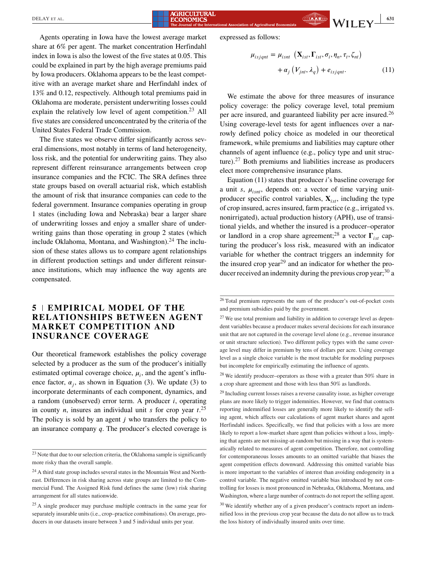Agents operating in Iowa have the lowest average market share at 6% per agent. The market concentration Herfindahl index in Iowa is also the lowest of the five states at 0.05. This could be explained in part by the high average premiums paid by Iowa producers. Oklahoma appears to be the least competitive with an average market share and Herfindahl index of 13% and 0.12, respectively. Although total premiums paid in Oklahoma are moderate, persistent underwriting losses could explain the relatively low level of agent competition.<sup>23</sup> All five states are considered unconcentrated by the criteria of the United States Federal Trade Commission.

The five states we observe differ significantly across several dimensions, most notably in terms of land heterogeneity, loss risk, and the potential for underwriting gains. They also represent different reinsurance arrangements between crop insurance companies and the FCIC. The SRA defines three state groups based on overall actuarial risk, which establish the amount of risk that insurance companies can cede to the federal government. Insurance companies operating in group 1 states (including Iowa and Nebraska) bear a larger share of underwriting losses and enjoy a smaller share of underwriting gains than those operating in group 2 states (which include Oklahoma, Montana, and Washington). $24$  The inclusion of these states allows us to compare agent relationships in different production settings and under different reinsurance institutions, which may influence the way agents are compensated.

## **5 EMPIRICAL MODEL OF THE RELATIONSHIPS BETWEEN AGENT MARKET COMPETITION AND INSURANCE COVERAGE**

Our theoretical framework establishes the policy coverage selected by a producer as the sum of the producer's initially estimated optimal coverage choice,  $\mu_i$ , and the agent's influence factor,  $\alpha_i$ , as shown in Equation (3). We update (3) to incorporate determinants of each component, dynamics, and a random (unobserved) error term. A producer  $i$ , operating in county *n*, insures an individual unit *s* for crop year  $t^{25}$ . The policy is sold by an agent  $j$  who transfers the policy to an insurance company  $q$ . The producer's elected coverage is expressed as follows:

$$
\mu_{isjqnt} = \mu_{isnt} \left( \mathbf{X}_{ist}, \mathbf{\Gamma}_{ist}, \sigma_i, \eta_n, \tau_t, \zeta_{nt} \right) + \alpha_j \left( V_{jnt}, \lambda_q \right) + e_{isjqnt}.
$$
\n(11)

We estimate the above for three measures of insurance policy coverage: the policy coverage level, total premium per acre insured, and guaranteed liability per acre insured.26 Using coverage-level tests for agent influences over a narrowly defined policy choice as modeled in our theoretical framework, while premiums and liabilities may capture other channels of agent influence (e.g., policy type and unit structure). $27$  Both premiums and liabilities increase as producers elect more comprehensive insurance plans.

Equation  $(11)$  states that producer *i*'s baseline coverage for a unit s,  $\mu_{isnt}$ , depends on: a vector of time varying unitproducer specific control variables,  $X_{ist}$ , including the type of crop insured, acres insured, farm practice (e.g., irrigated vs. nonirrigated), actual production history (APH), use of transitional yields, and whether the insured is a producer–operator or landlord in a crop share agreement;<sup>28</sup> a vector  $\Gamma_{\text{ist}}$  capturing the producer's loss risk, measured with an indicator variable for whether the contract triggers an indemnity for the insured crop year<sup>29</sup> and an indicator for whether the producer received an indemnity during the previous crop year;  $30$  a

 $28$  We identify producer–operators as those with a greater than 50% share in a crop share agreement and those with less than 50% as landlords.

 $29$  Including current losses raises a reverse causality issue, as higher coverage plans are more likely to trigger indemnities. However, we find that contracts reporting indemnified losses are generally more likely to identify the selling agent, which affects our calculations of agent market shares and agent Herfindahl indices. Specifically, we find that policies with a loss are more likely to report a low-market share agent than policies without a loss, implying that agents are not missing-at-random but missing in a way that is systematically related to measures of agent competition. Therefore, not controlling for contemporaneous losses amounts to an omitted variable that biases the agent competition effects downward. Addressing this omitted variable bias is more important to the variables of interest than avoiding endogeneity in a control variable. The negative omitted variable bias introduced by not controlling for losses is most pronounced in Nebraska, Oklahoma, Montana, and Washington, where a large number of contracts do not report the selling agent.

 $30$  We identify whether any of a given producer's contracts report an indemnified loss in the previous crop year because the data do not allow us to track the loss history of individually insured units over time.

 $23$  Note that due to our selection criteria, the Oklahoma sample is significantly more risky than the overall sample.

<sup>&</sup>lt;sup>24</sup> A third state group includes several states in the Mountain West and Northeast. Differences in risk sharing across state groups are limited to the Commercial Fund. The Assigned Risk fund defines the same (low) risk sharing arrangement for all states nationwide.

 $25$  A single producer may purchase multiple contracts in the same year for separately insurable units (i.e., crop–practice combinations). On average, producers in our datasets insure between 3 and 5 individual units per year.

<sup>26</sup> Total premium represents the sum of the producer's out-of-pocket costs and premium subsidies paid by the government.

 $27$  We use total premium and liability in addition to coverage level as dependent variables because a producer makes several decisions for each insurance unit that are not captured in the coverage level alone (e.g., revenue insurance or unit structure selection). Two different policy types with the same coverage level may differ in premium by tens of dollars per acre. Using coverage level as a single choice variable is the most tractable for modeling purposes but incomplete for empirically estimating the influence of agents.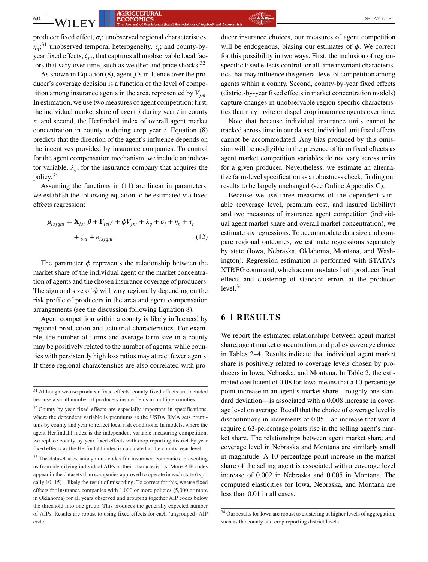producer fixed effect,  $\sigma_i$ ; unobserved regional characteristics,  $\eta_n$ <sup>31</sup> unobserved temporal heterogeneity,  $\tau_i$ ; and county-byyear fixed effects,  $\zeta_{nt}$ , that captures all unobservable local factors that vary over time, such as weather and price shocks. $32$ 

As shown in Equation  $(8)$ , agent *j*'s influence over the producer's coverage decision is a function of the level of competition among insurance agents in the area, represented by  $V_{int}$ . In estimation, we use two measures of agent competition: first, the individual market share of agent  $j$  during year  $t$  in county , and second, the Herfindahl index of overall agent market concentration in county *n* during crop year *t*. Equation  $(8)$ predicts that the direction of the agent's influence depends on the incentives provided by insurance companies. To control for the agent compensation mechanism, we include an indicator variable,  $\lambda_a$ , for the insurance company that acquires the policy.<sup>33</sup>

Assuming the functions in (11) are linear in parameters, we establish the following equation to be estimated via fixed effects regression:

$$
\mu_{isjqnt} = \mathbf{X}_{ist} \beta + \Gamma_{ist} \gamma + \phi V_{jnt} + \lambda_q + \sigma_i + \eta_n + \tau_t
$$
  
+  $\zeta_{nt} + e_{isjqnt}$ . (12)

The parameter  $\phi$  represents the relationship between the market share of the individual agent or the market concentration of agents and the chosen insurance coverage of producers. The sign and size of  $\hat{\phi}$  will vary regionally depending on the risk profile of producers in the area and agent compensation arrangements (see the discussion following Equation 8).

Agent competition within a county is likely influenced by regional production and actuarial characteristics. For example, the number of farms and average farm size in a county may be positively related to the number of agents, while counties with persistently high loss ratios may attract fewer agents. If these regional characteristics are also correlated with producer insurance choices, our measures of agent competition will be endogenous, biasing our estimates of  $\phi$ . We correct for this possibility in two ways. First, the inclusion of regionspecific fixed effects control for all time invariant characteristics that may influence the general level of competition among agents within a county. Second, county-by-year fixed effects (district-by-year fixed effects in market concentration models) capture changes in unobservable region-specific characteristics that may invite or dispel crop insurance agents over time.

Note that because individual insurance units cannot be tracked across time in our dataset, individual unit fixed effects cannot be accommodated. Any bias produced by this omission will be negligible in the presence of farm fixed effects as agent market competition variables do not vary across units for a given producer. Nevertheless, we estimate an alternative farm-level specification as a robustness check, finding our results to be largely unchanged (see Online Appendix C).

Because we use three measures of the dependent variable (coverage level, premium cost, and insured liability) and two measures of insurance agent competition (individual agent market share and overall market concentration), we estimate six regressions. To accommodate data size and compare regional outcomes, we estimate regressions separately by state (Iowa, Nebraska, Oklahoma, Montana, and Washington). Regression estimation is performed with STATA's XTREG command, which accommodates both producer fixed effects and clustering of standard errors at the producer  $level.<sup>34</sup>$ 

## **6 RESULTS**

We report the estimated relationships between agent market share, agent market concentration, and policy coverage choice in Tables 2–4. Results indicate that individual agent market share is positively related to coverage levels chosen by producers in Iowa, Nebraska, and Montana. In Table 2, the estimated coefficient of 0.08 for Iowa means that a 10-percentage point increase in an agent's market share—roughly one standard deviation—is associated with a 0.008 increase in coverage level on average. Recall that the choice of coverage level is discontinuous in increments of 0.05—an increase that would require a 63-percentage points rise in the selling agent's market share. The relationships between agent market share and coverage level in Nebraska and Montana are similarly small in magnitude. A 10-percentage point increase in the market share of the selling agent is associated with a coverage level increase of 0.002 in Nebraska and 0.005 in Montana. The computed elasticities for Iowa, Nebraska, and Montana are less than 0.01 in all cases.

<sup>&</sup>lt;sup>31</sup> Although we use producer fixed effects, county fixed effects are included because a small number of producers insure fields in multiple counties.

<sup>&</sup>lt;sup>32</sup> County-by-year fixed effects are especially important in specifications, where the dependent variable is premiums as the USDA RMA sets premiums by county and year to reflect local risk conditions. In models, where the agent Herfindahl index is the independent variable measuring competition, we replace county-by-year fixed effects with crop reporting district-by-year fixed effects as the Herfindahl index is calculated at the county-year level.

<sup>&</sup>lt;sup>33</sup> The dataset uses anonymous codes for insurance companies, preventing us from identifying individual AIPs or their characteristics. More AIP codes appear in the datasets than companies approved to operate in each state (typically 10–15)—likely the result of miscoding. To correct for this, we use fixed effects for insurance companies with 1,000 or more policies (5,000 or more in Oklahoma) for all years observed and grouping together AIP codes below the threshold into one group. This produces the generally expected number of AIPs. Results are robust to using fixed effects for each (ungrouped) AIP code.

<sup>&</sup>lt;sup>34</sup> Our results for Iowa are robust to clustering at higher levels of aggregation, such as the county and crop reporting district levels.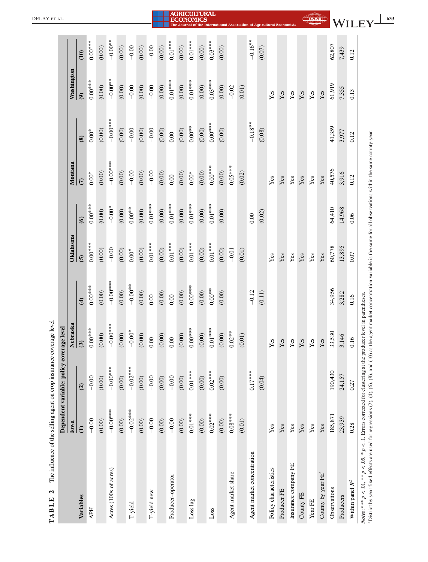| The influence of the selling agent on crop insurance coverage level                                                                                                                                                     |                | Dependent variable: policy cov | erage level    |               |                |                   |                                                                                                         |               |                        |                       |
|-------------------------------------------------------------------------------------------------------------------------------------------------------------------------------------------------------------------------|----------------|--------------------------------|----------------|---------------|----------------|-------------------|---------------------------------------------------------------------------------------------------------|---------------|------------------------|-----------------------|
|                                                                                                                                                                                                                         | Iowa           |                                | Nebraska       |               | Oklahoma       |                   | Montana                                                                                                 |               | Washington             |                       |
| Variables                                                                                                                                                                                                               | $\Theta$       | $\widehat{c}$                  | $\mathbf{r}$   | $\widehat{f}$ | $\overline{6}$ | $\odot$           | $\widehat{C}$                                                                                           | $\circledast$ | $\widehat{\mathbf{e}}$ | (10)                  |
| <b>APH</b>                                                                                                                                                                                                              | $-0.00$        | $-0.00$                        | $0.00***$      | $0.00^{***}$  | $0.00***$      | $0.00***$         | $0.00^{*}$                                                                                              | $0.00^{*}$    | $0.00***$              | $0.00^{\ast\ast\ast}$ |
|                                                                                                                                                                                                                         | (0.00)         | (0.00)                         | $(0.00)$       | $(0.00)$      | $(0.00)$       | $(0.00)$          | $(0.00)$                                                                                                | (0.00)        | (0.00)                 | (0.00)                |
| Acres (100s of acres)                                                                                                                                                                                                   | $-0.00^{***}$  | $-0.00$ ***                    | $-0.00***$     | $-0.00***$    | $-0.00$        | $-0.00*$          | $-0.00^{***}$                                                                                           | $-0.00^{***}$ | $-0.00$ **             | $-0.00**$             |
|                                                                                                                                                                                                                         | (0.00)         | (0.00)                         | $(0.00)$       | $(0.00)$      | $(0.00)$       | $(0.00)$          | $(0.00)$                                                                                                | $(0.00)$      | $(0.00)$               | $(0.00)$              |
| T-yield                                                                                                                                                                                                                 | $-0.02***$     | $-0.02***$                     | $-0.00*$       | $-0.00$ **    | $0.00^{*}$     | $0.00^{\ast\ast}$ | $-0.00$                                                                                                 | $-0.00$       | $-0.00$                | $-0.00$               |
|                                                                                                                                                                                                                         | (0.00)         | (0.00)                         | $(0.00)$       | (0.00)        | $(0.00)$       | $(0.00)$          | $(0.00)$                                                                                                | $(0.00)$      | $(0.00)$               | $(0.00)$              |
| T-yield new                                                                                                                                                                                                             | $-0.00$        | $-0.00$                        | $0.00\,$       | $0.00\,$      | $0.01***$      | $0.01***$         | $-0.00$                                                                                                 | $-0.00$       | $-0.00$                | $-0.00$               |
|                                                                                                                                                                                                                         | (0.00)         | (0.00)                         | $(0.00)$       | $(0.00)$      | $(0.00)$       | $(0.00)$          | $(0.00)$                                                                                                | $(0.00)$      | $(0.00)$               | $(0.00)$              |
| Producer-operator                                                                                                                                                                                                       | $-0.00$        | $-0.00$                        | 0.00           | 0.00          | $0.01***$      | $0.01***$         | 0.00                                                                                                    | 0.00          | $0.01***$              | $0.01***$             |
|                                                                                                                                                                                                                         | (0.00)         | (0.00)                         | $(0.00)$       | $(0.00)$      | $(0.00)$       | $(0.00)$          | $(0.00)$                                                                                                | $(0.00)$      | $(0.00)$               | $(0.00)$              |
| Loss lag                                                                                                                                                                                                                | $0.01^{***}\,$ | $0.01***$                      | $0.00***$      | $0.00^{***}$  | $0.01***$      | $0.01***$         | $0.00^\ast$                                                                                             | $0.00^{***}$  | $0.01^{***}\,$         | $0.01***$             |
|                                                                                                                                                                                                                         | (0.00)         | (0.00)                         | $(0.00)$       | $(0.00)$      | $(0.00)$       | $(0.00)$          | $(0.00)$                                                                                                | $(0.00)$      | $(0.00)$               | $(0.00)$              |
| Loss                                                                                                                                                                                                                    | $0.02***$      | $0.02***$                      | $0.01***$      | $0.00^{**}$   | $0.01***$      | $0.01***$         | $0.00^{***}$                                                                                            | $0.00***$     | $0.03***$              | $0.03***$             |
|                                                                                                                                                                                                                         | (0.00)         | (0.00)                         | (0.00)         | (0.00)        | $(0.00)$       | (0.00)            | $(0.00)$                                                                                                | (0.00)        | $(0.00)$               | (0.00)                |
| Agent market share                                                                                                                                                                                                      | $0.08***$      |                                | $0.02***$      |               | $-0.01$        |                   | $0.05***$                                                                                               |               | $-0.02$                |                       |
|                                                                                                                                                                                                                         | (0.01)         |                                | (0.01)         |               | $(0.01)$       |                   | $(0.02)$                                                                                                |               | $(0.01)$               |                       |
| Agent market concentration                                                                                                                                                                                              |                | $0.17***$                      |                | $-0.12$       |                | 0.00              |                                                                                                         | $-0.18**$     |                        | $-0.16**$             |
|                                                                                                                                                                                                                         |                | (0.04)                         |                | (0.11)        |                | (0.02)            |                                                                                                         | (0.08)        |                        | $(0.07)$              |
| Policy characteristics                                                                                                                                                                                                  | Yes            |                                | $\mathbf{Yes}$ |               | Yes            |                   | Yes                                                                                                     |               | Yes                    |                       |
| Producer FE                                                                                                                                                                                                             | $\mathbf{Yes}$ |                                | $\mathbf{Yes}$ |               | $\mathbf{Yes}$ |                   | $\mathbf{Yes}$                                                                                          |               | Yes                    |                       |
| Insurance company FE                                                                                                                                                                                                    | Yes            |                                | $\mathbf{Yes}$ |               | $\mathbf{Yes}$ |                   | $\mathbf{Yes}$                                                                                          |               | Yes                    |                       |
| County FE                                                                                                                                                                                                               | $\mathbf{Yes}$ |                                | Yes            |               | Yes            |                   | Yes                                                                                                     |               | Yes                    |                       |
| Year FE                                                                                                                                                                                                                 | Yes            |                                | Yes            |               | $\mathbf{Yes}$ |                   | $\mathbf{Yes}$                                                                                          |               | $\mathbf{Yes}$         |                       |
| County by year FE                                                                                                                                                                                                       | $\mathbf{Yes}$ |                                | Yes            |               | $\mathbf{Yes}$ |                   | Yes                                                                                                     |               | Yes                    |                       |
| Observations                                                                                                                                                                                                            | 185,871        | 190,430                        | 33,530         | 34,956        | 60,778         | 64,410            | 40,576                                                                                                  | 41,359        | 61,919                 | 62,807                |
| Producers                                                                                                                                                                                                               | 23,939         | 24,157                         | 3,146          | 3,282         | 13,895         | 14,968            | 3,916                                                                                                   | 3,977         | 7,355                  | 7,439                 |
| Within panel $R^2$                                                                                                                                                                                                      | 0.28           | 0.27                           | 0.16           | 0.16          | $0.07\,$       | 0.06              | 0.12                                                                                                    | 0.12          | 0.13                   | 0.12                  |
| <i>Notes:</i> *** $p < .01$ , ** $p < .05$ , * $p < .1$ . Errors corrected for clustering at the producer level in parentheses.<br>a District by year fixed effects are used for recreasions (2) $(A)$ $(B)$ and $(10)$ |                |                                |                |               |                |                   | as the agent market concentration variable is the same for all observations within the same county-vear |               |                        |                       |

**ernatic** 

n of Agrici

AGRICULTURAL<br>ECONOMICS<br>The Journal of the International Association of Agricultural Economists<br>
WILEY<sup>633</sup>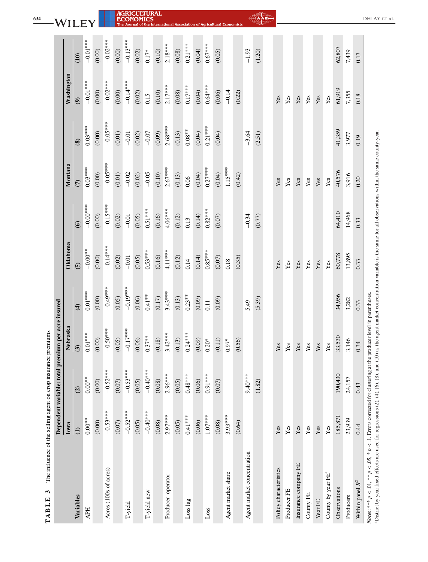|                                                                                                                                                                                                                           |               | Dependent variable: total premi | um per acre insured |                                                                                                          |                        |                        |                |               |                        |            |
|---------------------------------------------------------------------------------------------------------------------------------------------------------------------------------------------------------------------------|---------------|---------------------------------|---------------------|----------------------------------------------------------------------------------------------------------|------------------------|------------------------|----------------|---------------|------------------------|------------|
|                                                                                                                                                                                                                           | Iowa          |                                 | Nebraska            |                                                                                                          | Oklahoma               |                        | Montana        |               | Washington             |            |
| Variables                                                                                                                                                                                                                 | $\widehat{E}$ | $\widehat{c}$                   | $\mathfrak{S}$      | $\widehat{f}$                                                                                            | $\widehat{\mathbf{c}}$ | $\widehat{\mathbf{e}}$ | $\epsilon$     | $\circledast$ | $\widehat{\mathbf{e}}$ | (10)       |
| <b>APH</b>                                                                                                                                                                                                                | $0.00^{**}$   | $0.00^{**}$                     | $0.01***$           | $0.01***$                                                                                                | $-0.00***$             | $-0.00***$             | $0.03***$      | $0.03***$     | $-0.01***$             | $-0.01***$ |
|                                                                                                                                                                                                                           | (0.00)        | (0.00)                          | $(0.00)$            | $(0.00)$                                                                                                 | (0.00)                 | (0.00)                 | $(0.00)$       | (0.00)        | (0.00)                 | $(0.00)$   |
| Acres (100s of acres)                                                                                                                                                                                                     | $-0.53***$    | $-0.52***$                      | $-0.50***$          | $-0.49***$                                                                                               | $-0.14***$             | $-0.15***$             | $-0.05***$     | $-0.05***$    | $-0.02***$             | $-0.02***$ |
|                                                                                                                                                                                                                           | (0.07)        | (0.07)                          | (0.05)              | (0.05)                                                                                                   | (0.02)                 | (0.02)                 | (0.01)         | (0.01)        | (0.00)                 | (0.00)     |
| $T$ -yield                                                                                                                                                                                                                | $-0.52***$    | $-0.53***$                      | $-0.17***$          | $-0.19***$                                                                                               | $-0.01$                | $-0.01$                | $-0.02$        | $-0.01$       | $-0.14***$             | $-0.13***$ |
|                                                                                                                                                                                                                           | (0.05)        | (0.05)                          | (0.06)              | (0.06)                                                                                                   | (0.05)                 | (0.05)                 | $(0.02)$       | $(0.02)$      | (0.02)                 | $(0.02)$   |
| T-yield new                                                                                                                                                                                                               | $-0.40***$    | $-0.40***$                      | $0.37***$           | $0.41***$                                                                                                | $0.53***$              | $0.51***$              | $-0.05$        | $-0.07$       | 0.15                   | $0.17*$    |
|                                                                                                                                                                                                                           | (0.08)        | (0.08)                          | (0.18)              | (0.17)                                                                                                   | (0.16)                 | (0.16)                 | (0.10)         | (0.09)        | (0.10)                 | $(0.10)$   |
| Producer-operator                                                                                                                                                                                                         | $2.97***$     | $2.96***$                       | $3.42***$           | $3.43***$                                                                                                | $4.11***$              | $4.06***$              | $2.67***$      | $2.68***$     | $2.17***$              | $2.18***$  |
|                                                                                                                                                                                                                           | (0.05)        | (0.05)                          | (0.13)              | (0.13)                                                                                                   | (0.12)                 | (0.12)                 | (0.13)         | (0.13)        | (0.08)                 | (0.08)     |
| Loss lag                                                                                                                                                                                                                  | $0.41***$     | $0.48***$                       | $0.24***$           | $0.23***$                                                                                                | 0.14                   | 0.13                   | 0.06           | $0.08^{**}$   | $0.17***$              | $0.21***$  |
|                                                                                                                                                                                                                           | (0.06)        | (0.06)                          | (0.09)              | (0.09)                                                                                                   | (0.14)                 | (0.14)                 | (0.04)         | (0.04)        | (0.04)                 | $(0.04)$   |
| Loss                                                                                                                                                                                                                      | $1.07***$     | $0.91***$                       | $0.20*$             | 0.11                                                                                                     | $0.85***$              | $0.82***$              | $0.27***$      | $0.21***$     | $0.64***$              | $0.67***$  |
|                                                                                                                                                                                                                           | (0.08)        | (0.07)                          | (0.11)              | (0.09)                                                                                                   | $(0.07)$               | (0.07)                 | (0.04)         | (0.04)        | (0.06)                 | (0.05)     |
| Agent market share                                                                                                                                                                                                        | $3.93***$     |                                 | $0.97*$             |                                                                                                          | 0.18                   |                        | $1.15***$      |               | $-0.14$                |            |
|                                                                                                                                                                                                                           | (0.64)        |                                 | (0.56)              |                                                                                                          | (0.35)                 |                        | (0.42)         |               | (0.22)                 |            |
| Agent market concentration                                                                                                                                                                                                |               | $9.40***$                       |                     | 5.49                                                                                                     |                        | $-0.34$                |                | $-3.64$       |                        | $-1.93$    |
|                                                                                                                                                                                                                           |               | (1.82)                          |                     | (5.39)                                                                                                   |                        | (0.77)                 |                | (2.51)        |                        | (1.20)     |
|                                                                                                                                                                                                                           |               |                                 |                     |                                                                                                          |                        |                        |                |               |                        |            |
| Policy characteristics                                                                                                                                                                                                    | Yes           |                                 | $\mathbf{Yes}$      |                                                                                                          | Yes                    |                        | Yes            |               | Yes                    |            |
| Producer FE                                                                                                                                                                                                               | Yes           |                                 | $\mathbf{Yes}$      |                                                                                                          | Yes                    |                        | $\mathbf{Yes}$ |               | Yes                    |            |
| Insurance company FE                                                                                                                                                                                                      | Yes           |                                 | $\mathbf{Yes}$      |                                                                                                          | Yes                    |                        | Yes            |               | Yes                    |            |
| County FE                                                                                                                                                                                                                 | Yes           |                                 | $\mathbf{Yes}$      |                                                                                                          | Yes                    |                        | $\mathbf{Yes}$ |               | Yes                    |            |
| Year FE                                                                                                                                                                                                                   | Yes           |                                 | $\mathbf{Yes}$      |                                                                                                          | Yes                    |                        | $\mathbf{Yes}$ |               | Yes                    |            |
| County by year FE <sup>®</sup>                                                                                                                                                                                            | Yes           |                                 | $\mathbf{Yes}$      |                                                                                                          | Yes                    |                        | Yes            |               | Yes                    |            |
| Observations                                                                                                                                                                                                              | 185,871       | 190,430                         | 33,530              | 34,956                                                                                                   | 60,778                 | 64,410                 | 40,576         | 41,359        | 61,919                 | 62,807     |
| Producers                                                                                                                                                                                                                 | 23,939        | 24,157                          | 3,146               | 3,282                                                                                                    | 13,895                 | 14,968                 | 3,916          | 3,977         | 7,355                  | 7,439      |
| Within panel $R^2$                                                                                                                                                                                                        | 0.44          | 0.43                            | 0.34                | 0.33                                                                                                     | 0.33                   | 0.33                   | 0.20           | 0.19          | 0.18                   | 0.17       |
| <i>Notes:</i> *** $p < 0.01$ , ** $p < 0.05$ , * $p < 1$ . Errors corrected for clustering at the producer level in parentheses.<br>aDistrict by year fixed effects are used for regressions (2), (4), (6), (8), and (10) |               |                                 |                     | as the agent market concentration variable is the same for all observations within the same county-year. |                        |                        |                |               |                        |            |
|                                                                                                                                                                                                                           |               |                                 |                     |                                                                                                          |                        |                        |                |               |                        |            |

**TABLE 3** The influence of the selling agent on crop insurance premiums **TABLE 3** The influence of the selling agent on crop insurance premiums

DELAY ET AL.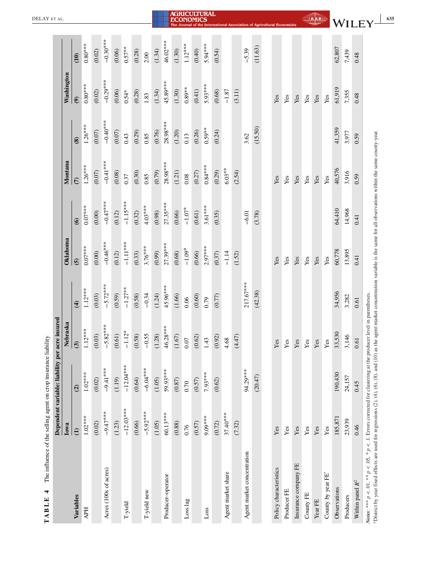| 4<br>TABLE                                                                                                                                                                                                                  |                | The influence of the selling agent on crop insurance liability |                |                                                                                                          |                |            |            |               |                        |            |
|-----------------------------------------------------------------------------------------------------------------------------------------------------------------------------------------------------------------------------|----------------|----------------------------------------------------------------|----------------|----------------------------------------------------------------------------------------------------------|----------------|------------|------------|---------------|------------------------|------------|
|                                                                                                                                                                                                                             |                | Dependent variable: liability per                              | acre insured   |                                                                                                          |                |            |            |               |                        |            |
|                                                                                                                                                                                                                             | Iowa           |                                                                | Nebraska       |                                                                                                          | Oklahoma       |            | Montana    |               | Washington             |            |
| Variables                                                                                                                                                                                                                   | $\Theta$       | $\mathfrak{D}$                                                 | $\mathfrak{S}$ | $\bigoplus$                                                                                              | $\overline{6}$ | $\odot$    | $\epsilon$ | $\circledast$ | $\widehat{\mathbf{e}}$ | (10)       |
| <b>APH</b>                                                                                                                                                                                                                  | $1.02***$      | $1.02***$                                                      | $1.12***$      | $1.12***$                                                                                                | $0.07***$      | $0.07***$  | $1.26***$  | $1.26***$     | $0.80***$              | $0.80***$  |
|                                                                                                                                                                                                                             | (0.02)         | (0.02)                                                         | (0.03)         | (0.03)                                                                                                   | (0.00)         | (0.00)     | (0.07)     | (0.07)        | (0.02)                 | (0.02)     |
| Acres (100s of acres)                                                                                                                                                                                                       | $-9.47***$     | $-9.41***$                                                     | $-5.82***$     | $-5.72***$                                                                                               | $-0.46***$     | $-0.47***$ | $-0.41***$ | $-0.40***$    | $-0.29***$             | $-0.30***$ |
|                                                                                                                                                                                                                             | (1.23)         | (1.19)                                                         | (0.61)         | (0.59)                                                                                                   | (0.12)         | (0.12)     | (0.08)     | $(0.07)$      | (0.06)                 | (0.06)     |
| $T$ -yield                                                                                                                                                                                                                  | $-12.03***$    | $-12.04***$                                                    | $-1.12*$       | $-1.27**$                                                                                                | $-1.11***$     | $-1.15***$ | 0.37       | 0.43          | $0.54*$                | $0.57***$  |
|                                                                                                                                                                                                                             | (0.66)         | (0.64)                                                         | (0.58)         | (0.58)                                                                                                   | (0.33)         | (0.32)     | (0.30)     | (0.29)        | (0.28)                 | (0.28)     |
| T-yield new                                                                                                                                                                                                                 | $-5.92***$     | $-6.04***$                                                     | $-0.55$        | $-0.34$                                                                                                  | $3.76***$      | $4.03***$  | 0.85       | 0.85          | 1.83                   | 2.00       |
|                                                                                                                                                                                                                             | (1.05)         | (1.05)                                                         | (1.28)         | (1.24)                                                                                                   | (0.99)         | (0.98)     | (0.79)     | (0.76)        | (1.34)                 | (1.34)     |
| Producer-operator                                                                                                                                                                                                           | 60.13***       | 59.93***                                                       | $46.28***$     | 45.96***                                                                                                 | 27.39***       | $27.35***$ | $28.98***$ | $28.98***$    | 45.89***               | 46.02***   |
|                                                                                                                                                                                                                             | (0.88)         | (0.87)                                                         | (1.67)         | (1.66)                                                                                                   | (0.68)         | (0.66)     | (1.21)     | (1.20)        | (1.30)                 | (1.30)     |
| Loss lag                                                                                                                                                                                                                    | 0.76           | 0.70                                                           | $0.07$         | 0.06                                                                                                     | $-1.09*$       | $-1.07*$   | $0.08\,$   | 0.13          | $0.89**$               | $1.12***$  |
|                                                                                                                                                                                                                             | (0.57)         | (0.57)                                                         | (0.62)         | (0.60)                                                                                                   | (0.66)         | (0.61)     | (0.27)     | (0.26)        | (0.41)                 | (0.40)     |
| Loss                                                                                                                                                                                                                        | $9.09***$      | 7.93***                                                        | 1.43           | 0.79                                                                                                     | $2.97***$      | $3.61***$  | $0.84***$  | $0.59***$     | $5.93***$              | $5.94***$  |
|                                                                                                                                                                                                                             | (0.72)         | (0.62)                                                         | (0.92)         | (0.77)                                                                                                   | (0.37)         | (0.35)     | (0.29)     | (0.24)        | (0.68)                 | (0.54)     |
| Agent market share                                                                                                                                                                                                          | $37.40***$     |                                                                | 4.68           |                                                                                                          | $-1.14$        |            | $6.03***$  |               | $-1.87$                |            |
|                                                                                                                                                                                                                             | (7.32)         |                                                                | (4.47)         |                                                                                                          | (1.52)         |            | (2.54)     |               | (3.11)                 |            |
| Agent market concentration                                                                                                                                                                                                  |                | 94.29***                                                       |                | $217.67***$                                                                                              |                | $-6.01$    |            | 3.62          |                        | $-5.39$    |
|                                                                                                                                                                                                                             |                | (20.47)                                                        |                | (42.38)                                                                                                  |                | (3.78)     |            | (15.50)       |                        | (11.63)    |
|                                                                                                                                                                                                                             |                |                                                                |                |                                                                                                          |                |            |            |               |                        |            |
| Policy characteristics                                                                                                                                                                                                      | Yes            |                                                                | Yes            |                                                                                                          | Yes            |            | Yes        |               | Yes                    |            |
| Producer FE                                                                                                                                                                                                                 | $\mathbf{Yes}$ |                                                                | $\mathbf{Yes}$ |                                                                                                          | Yes            |            | Yes        |               | Yes                    |            |
| Insurance company FE                                                                                                                                                                                                        | $\mathbf{Yes}$ |                                                                | $\mathbf{Yes}$ |                                                                                                          | Yes            |            | Yes        |               | Yes                    |            |
| County FE                                                                                                                                                                                                                   | $\mathbf{Yes}$ |                                                                | $\mathbf{Yes}$ |                                                                                                          | $\mathbf{Yes}$ |            | Yes        |               | $\mathbf{Yes}$         |            |
| Year FE                                                                                                                                                                                                                     | Yes            |                                                                | $\mathbf{Yes}$ |                                                                                                          | Yes            |            | Yes        |               | Yes                    |            |
| County by year FE <sup>®</sup>                                                                                                                                                                                              | Yes            |                                                                | Yes            |                                                                                                          | $\mathbf{Yes}$ |            | Yes        |               | Yes                    |            |
| Observations                                                                                                                                                                                                                | 185,871        | 190,430                                                        | 33,530         | 34,956                                                                                                   | 60,778         | 64,410     | 40,576     | 41,359        | 61,919                 | 62,807     |
| Producers                                                                                                                                                                                                                   | 23,939         | 24,157                                                         | 3,146          | 3,282                                                                                                    | 13,895         | 14,968     | 3,916      | 3,977         | 7,355                  | 7,439      |
| Within panel $R^2$                                                                                                                                                                                                          | 0.46           | 0.45                                                           | 0.61           | 0.61                                                                                                     | 0.41           | 0.41       | 0.59       | 0.59          | 0.48                   | 0.48       |
| <i>Notes:</i> *** $p < 0.01$ , ** $p < 0.05$ , * $p < 0.1$ . Errors corrected for clustering at the producer level in parentheses.<br>aDistrict by year fixed effects are used for regressions (2), (4), (6), (8), and (10) |                |                                                                |                | as the agent market concentration variable is the same for all observations within the same county-year. |                |            |            |               |                        |            |
|                                                                                                                                                                                                                             |                |                                                                |                |                                                                                                          |                |            |            |               |                        |            |

a of Agric

DELAY ET AL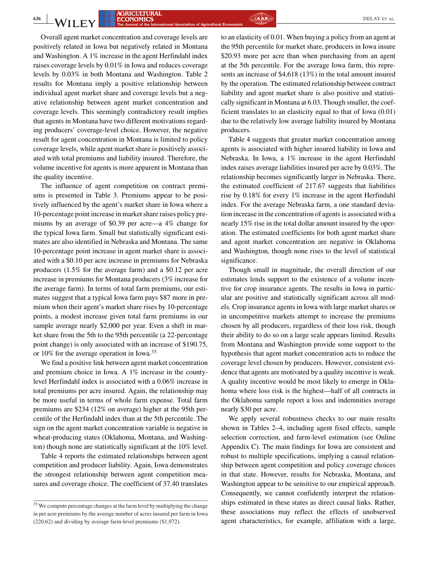Overall agent market concentration and coverage levels are positively related in Iowa but negatively related in Montana and Washington. A 1% increase in the agent Herfindahl index raises coverage levels by 0.01% in Iowa and reduces coverage levels by 0.03% in both Montana and Washington. Table 2 results for Montana imply a positive relationship between individual agent market share and coverage levels but a negative relationship between agent market concentration and coverage levels. This seemingly contradictory result implies that agents in Montana have two different motivations regarding producers' coverage-level choice. However, the negative result for agent concentration in Montana is limited to policy coverage levels, while agent market share is positively associated with total premiums and liability insured. Therefore, the volume incentive for agents is more apparent in Montana than the quality incentive.

The influence of agent competition on contract premiums is presented in Table 3. Premiums appear to be positively influenced by the agent's market share in Iowa where a 10-percentage point increase in market share raises policy premiums by an average of \$0.39 per acre—a 4% change for the typical Iowa farm. Small but statistically significant estimates are also identified in Nebraska and Montana. The same 10-percentage point increase in agent market share is associated with a \$0.10 per acre increase in premiums for Nebraska producers (1.5% for the average farm) and a \$0.12 per acre increase in premiums for Montana producers (3% increase for the average farm). In terms of total farm premiums, our estimates suggest that a typical Iowa farm pays \$87 more in premium when their agent's market share rises by 10-percentage points, a modest increase given total farm premiums in our sample average nearly \$2,000 per year. Even a shift in market share from the 5th to the 95th percentile (a 22-percentage point change) is only associated with an increase of \$190.75, or 10% for the average operation in Iowa.35

We find a positive link between agent market concentration and premium choice in Iowa. A 1% increase in the countylevel Herfindahl index is associated with a 0.06% increase in total premiums per acre insured. Again, the relationship may be more useful in terms of whole farm expense. Total farm premiums are \$234 (12% on average) higher at the 95th percentile of the Herfindahl index than at the 5th percentile. The sign on the agent market concentration variable is negative in wheat-producing states (Oklahoma, Montana, and Washington) though none are statistically significant at the 10% level.

Table 4 reports the estimated relationships between agent competition and producer liability. Again, Iowa demonstrates the strongest relationship between agent competition measures and coverage choice. The coefficient of 37.40 translates

to an elasticity of 0.01. When buying a policy from an agent at the 95th percentile for market share, producers in Iowa insure \$20.93 more per acre than when purchasing from an agent at the 5th percentile. For the average Iowa farm, this represents an increase of \$4,618 (13%) in the total amount insured by the operation. The estimated relationship between contract liability and agent market share is also positive and statistically significant in Montana at 6.03. Though smaller, the coefficient translates to an elasticity equal to that of Iowa (0.01) due to the relatively low average liability insured by Montana producers.

Table 4 suggests that greater market concentration among agents is associated with higher insured liability in Iowa and Nebraska. In Iowa, a 1% increase in the agent Herfindahl index raises average liabilities insured per acre by 0.03%. The relationship becomes significantly larger in Nebraska. There, the estimated coefficient of 217.67 suggests that liabilities rise by 0.18% for every 1% increase in the agent Herfindahl index. For the average Nebraska farm, a one standard deviation increase in the concentration of agents is associated with a nearly 15% rise in the total dollar amount insured by the operation. The estimated coefficients for both agent market share and agent market concentration are negative in Oklahoma and Washington, though none rises to the level of statistical significance.

Though small in magnitude, the overall direction of our estimates lends support to the existence of a volume incentive for crop insurance agents. The results in Iowa in particular are positive and statistically significant across all models. Crop insurance agents in Iowa with large market shares or in uncompetitive markets attempt to increase the premiums chosen by all producers, regardless of their loss risk, though their ability to do so on a large scale appears limited. Results from Montana and Washington provide some support to the hypothesis that agent market concentration acts to reduce the coverage level chosen by producers. However, consistent evidence that agents are motivated by a quality incentive is weak. A quality incentive would be most likely to emerge in Oklahoma where loss risk is the highest—half of all contracts in the Oklahoma sample report a loss and indemnities average nearly \$30 per acre.

We apply several robustness checks to our main results shown in Tables 2–4, including agent fixed effects, sample selection correction, and farm-level estimation (see Online Appendix C). The main findings for Iowa are consistent and robust to multiple specifications, implying a causal relationship between agent competition and policy coverage choices in that state. However, results for Nebraska, Montana, and Washington appear to be sensitive to our empirical approach. Consequently, we cannot confidently interpret the relationships estimated in these states as direct causal links. Rather, these associations may reflect the effects of unobserved agent characteristics, for example, affiliation with a large,

<sup>&</sup>lt;sup>35</sup> We compute percentage changes at the farm level by multiplying the change in per acre premiums by the average number of acres insured per farm in Iowa (220.62) and dividing by average farm-level premiums (\$1,972).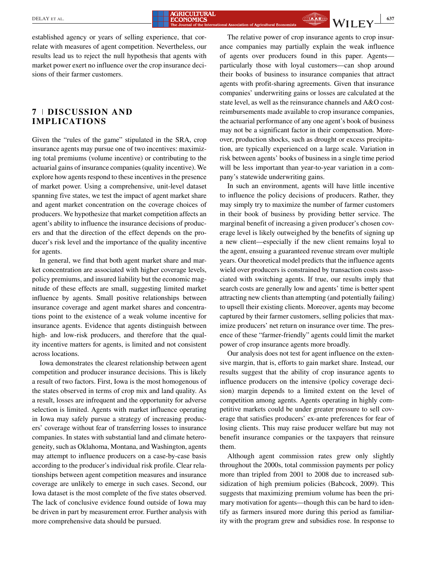established agency or years of selling experience, that correlate with measures of agent competition. Nevertheless, our results lead us to reject the null hypothesis that agents with market power exert no influence over the crop insurance decisions of their farmer customers.

# **7 DISCUSSION AND IMPLICATIONS**

Given the "rules of the game" stipulated in the SRA, crop insurance agents may pursue one of two incentives: maximizing total premiums (volume incentive) or contributing to the actuarial gains of insurance companies (quality incentive). We explore how agents respond to these incentives in the presence of market power. Using a comprehensive, unit-level dataset spanning five states, we test the impact of agent market share and agent market concentration on the coverage choices of producers. We hypothesize that market competition affects an agent's ability to influence the insurance decisions of producers and that the direction of the effect depends on the producer's risk level and the importance of the quality incentive for agents.

In general, we find that both agent market share and market concentration are associated with higher coverage levels, policy premiums, and insured liability but the economic magnitude of these effects are small, suggesting limited market influence by agents. Small positive relationships between insurance coverage and agent market shares and concentrations point to the existence of a weak volume incentive for insurance agents. Evidence that agents distinguish between high- and low-risk producers, and therefore that the quality incentive matters for agents, is limited and not consistent across locations.

Iowa demonstrates the clearest relationship between agent competition and producer insurance decisions. This is likely a result of two factors. First, Iowa is the most homogenous of the states observed in terms of crop mix and land quality. As a result, losses are infrequent and the opportunity for adverse selection is limited. Agents with market influence operating in Iowa may safely pursue a strategy of increasing producers' coverage without fear of transferring losses to insurance companies. In states with substantial land and climate heterogeneity, such as Oklahoma, Montana, and Washington, agents may attempt to influence producers on a case-by-case basis according to the producer's individual risk profile. Clear relationships between agent competition measures and insurance coverage are unlikely to emerge in such cases. Second, our Iowa dataset is the most complete of the five states observed. The lack of conclusive evidence found outside of Iowa may be driven in part by measurement error. Further analysis with more comprehensive data should be pursued.

The relative power of crop insurance agents to crop insurance companies may partially explain the weak influence of agents over producers found in this paper. Agents particularly those with loyal customers—can shop around their books of business to insurance companies that attract agents with profit-sharing agreements. Given that insurance companies' underwriting gains or losses are calculated at the state level, as well as the reinsurance channels and A&O costreimbursements made available to crop insurance companies, the actuarial performance of any one agent's book of business may not be a significant factor in their compensation. Moreover, production shocks, such as drought or excess precipitation, are typically experienced on a large scale. Variation in risk between agents' books of business in a single time period will be less important than year-to-year variation in a company's statewide underwriting gains.

In such an environment, agents will have little incentive to influence the policy decisions of producers. Rather, they may simply try to maximize the number of farmer customers in their book of business by providing better service. The marginal benefit of increasing a given producer's chosen coverage level is likely outweighed by the benefits of signing up a new client—especially if the new client remains loyal to the agent, ensuing a guaranteed revenue stream over multiple years. Our theoretical model predicts that the influence agents wield over producers is constrained by transaction costs associated with switching agents. If true, our results imply that search costs are generally low and agents' time is better spent attracting new clients than attempting (and potentially failing) to upsell their existing clients. Moreover, agents may become captured by their farmer customers, selling policies that maximize producers' net return on insurance over time. The presence of these "farmer-friendly" agents could limit the market power of crop insurance agents more broadly.

Our analysis does not test for agent influence on the extensive margin, that is, efforts to gain market share. Instead, our results suggest that the ability of crop insurance agents to influence producers on the intensive (policy coverage decision) margin depends to a limited extent on the level of competition among agents. Agents operating in highly competitive markets could be under greater pressure to sell coverage that satisfies producers' ex-ante preferences for fear of losing clients. This may raise producer welfare but may not benefit insurance companies or the taxpayers that reinsure them.

Although agent commission rates grew only slightly throughout the 2000s, total commission payments per policy more than tripled from 2001 to 2008 due to increased subsidization of high premium policies (Babcock, 2009). This suggests that maximizing premium volume has been the primary motivation for agents—though this can be hard to identify as farmers insured more during this period as familiarity with the program grew and subsidies rose. In response to